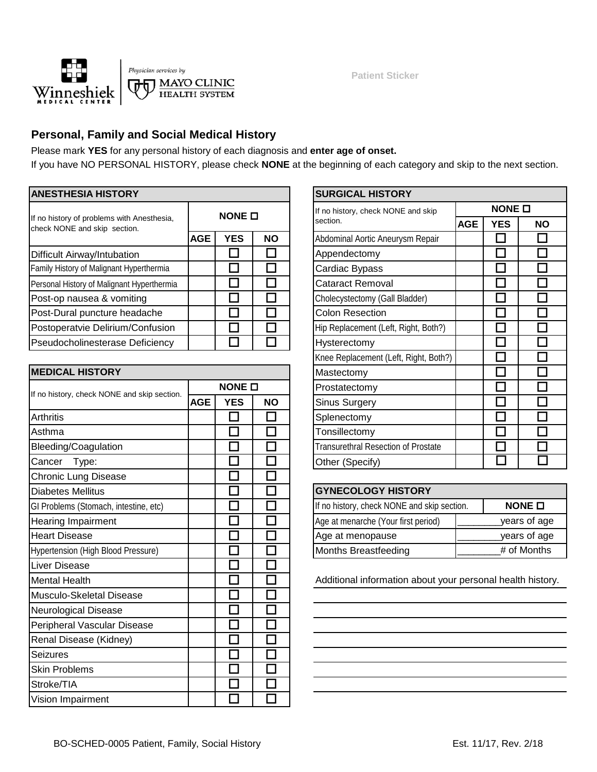

**Patient Sticker**

## **Personal, Family and Social Medical History**

Please mark **YES** for any personal history of each diagnosis and **enter age of onset.** If you have NO PERSONAL HISTORY, please check **NONE** at the beginning of each category and skip to the next section.

| <b>ANESTHESIA HISTORY</b>                                                  |            | <b>SURGICAL HISTORY</b> |  |  |                                      |                   |            |           |  |  |  |
|----------------------------------------------------------------------------|------------|-------------------------|--|--|--------------------------------------|-------------------|------------|-----------|--|--|--|
|                                                                            |            | NONE O                  |  |  | If no history, check NONE and skip   | NONE <sub>I</sub> |            |           |  |  |  |
| If no history of problems with Anesthesia,<br>check NONE and skip section. |            |                         |  |  | section.                             | <b>AGE</b>        | <b>YES</b> | <b>NO</b> |  |  |  |
|                                                                            | <b>AGE</b> | <b>YES</b><br><b>NO</b> |  |  | Abdominal Aortic Aneurysm Repair     |                   |            |           |  |  |  |
| Difficult Airway/Intubation                                                |            |                         |  |  | Appendectomy                         |                   |            |           |  |  |  |
| Family History of Malignant Hyperthermia                                   |            |                         |  |  | Cardiac Bypass                       |                   |            |           |  |  |  |
| Personal History of Malignant Hyperthermia                                 |            |                         |  |  | <b>Cataract Removal</b>              |                   |            |           |  |  |  |
| Post-op nausea & vomiting                                                  |            |                         |  |  | Cholecystectomy (Gall Bladder)       |                   |            |           |  |  |  |
| Post-Dural puncture headache                                               |            |                         |  |  | <b>Colon Resection</b>               |                   |            |           |  |  |  |
| Postoperatvie Delirium/Confusion                                           |            |                         |  |  | Hip Replacement (Left, Right, Both?) |                   |            |           |  |  |  |
| Pseudocholinesterase Deficiency                                            |            |                         |  |  | <b>Hysterectomy</b>                  |                   |            |           |  |  |  |

| <b>MEDICAL HISTORY</b>                      |            |                             |                          | Mastectomy                                              |               |  |  |  |
|---------------------------------------------|------------|-----------------------------|--------------------------|---------------------------------------------------------|---------------|--|--|--|
|                                             |            | NONE O                      |                          | Prostatectomy                                           |               |  |  |  |
| If no history, check NONE and skip section. | <b>AGE</b> | <b>YES</b>                  | <b>NO</b>                | Sinus Surgery                                           | П             |  |  |  |
| Arthritis                                   |            | $\Box$                      | П                        | Splenectomy                                             | m.            |  |  |  |
| Asthma                                      |            |                             |                          | Tonsillectomy                                           |               |  |  |  |
| Bleeding/Coagulation                        |            | $\mathcal{L}_{\mathcal{A}}$ |                          | <b>Transurethral Resection of Prostate</b>              | Г             |  |  |  |
| Cancer<br>Type:                             |            |                             | $\mathbf{L}$             | Other (Specify)                                         |               |  |  |  |
| <b>Chronic Lung Disease</b>                 |            | $\mathbb{R}^n$              |                          |                                                         |               |  |  |  |
| <b>Diabetes Mellitus</b>                    |            | $\overline{\phantom{a}}$    | П                        | <b>GYNECOLOGY HISTORY</b>                               |               |  |  |  |
| GI Problems (Stomach, intestine, etc)       |            |                             |                          | If no history, check NONE and skip section.             | NONE <b>O</b> |  |  |  |
| Hearing Impairment                          |            | $\Box$                      | H                        | Age at menarche (Your first period)                     | years of ag   |  |  |  |
| <b>Heart Disease</b>                        |            | $\mathcal{L}$               | $\overline{\phantom{a}}$ | Age at menopause                                        | years of ag   |  |  |  |
| Hypertension (High Blood Pressure)          |            |                             |                          | Months Breastfeeding                                    | # of Months   |  |  |  |
| Liver Disease                               |            | n.                          |                          |                                                         |               |  |  |  |
| <b>Mental Health</b>                        |            |                             |                          | Additional information about your personal health histo |               |  |  |  |
| Musculo-Skeletal Disease                    |            |                             |                          |                                                         |               |  |  |  |
| <b>Neurological Disease</b>                 |            | $\mathcal{L}$               |                          |                                                         |               |  |  |  |
| Peripheral Vascular Disease                 |            | П                           |                          |                                                         |               |  |  |  |
| Renal Disease (Kidney)                      |            | $\sim$                      |                          |                                                         |               |  |  |  |
| <b>Seizures</b>                             |            | П                           | П                        |                                                         |               |  |  |  |
| <b>Skin Problems</b>                        |            |                             |                          |                                                         |               |  |  |  |
| Stroke/TIA                                  |            | П                           |                          |                                                         |               |  |  |  |
| Vision Impairment                           |            | $\sim$                      |                          |                                                         |               |  |  |  |

|            |                   |           |  | <b>SURGICAL HISTORY</b>               |  |            |           |  |  |  |  |  |
|------------|-------------------|-----------|--|---------------------------------------|--|------------|-----------|--|--|--|--|--|
|            | NONE <sub>D</sub> |           |  | If no history, check NONE and skip    |  | NONE O     |           |  |  |  |  |  |
|            |                   |           |  | section.<br><b>AGE</b>                |  | <b>YES</b> | <b>NO</b> |  |  |  |  |  |
| <b>AGE</b> | <b>YES</b>        | <b>NO</b> |  | Abdominal Aortic Aneurysm Repair      |  |            |           |  |  |  |  |  |
|            |                   |           |  | Appendectomy                          |  |            |           |  |  |  |  |  |
|            |                   |           |  | Cardiac Bypass                        |  |            |           |  |  |  |  |  |
|            |                   |           |  | Cataract Removal                      |  |            |           |  |  |  |  |  |
|            |                   |           |  | Cholecystectomy (Gall Bladder)        |  |            |           |  |  |  |  |  |
|            |                   |           |  | <b>Colon Resection</b>                |  |            |           |  |  |  |  |  |
|            |                   |           |  | Hip Replacement (Left, Right, Both?)  |  |            |           |  |  |  |  |  |
|            |                   |           |  | Hysterectomy                          |  |            |           |  |  |  |  |  |
|            |                   |           |  | Knee Replacement (Left, Right, Both?) |  |            |           |  |  |  |  |  |
|            |                   |           |  | Mastectomy                            |  |            |           |  |  |  |  |  |
|            | NONE O            |           |  | Prostatectomy                         |  |            |           |  |  |  |  |  |
| <b>AGE</b> | <b>YES</b>        | <b>NO</b> |  | Sinus Surgery                         |  |            |           |  |  |  |  |  |
|            |                   |           |  | Splenectomy                           |  |            |           |  |  |  |  |  |
|            |                   |           |  | Tonsillectomy                         |  |            |           |  |  |  |  |  |
|            |                   |           |  | Transurethral Resection of Prostate   |  |            |           |  |  |  |  |  |
|            |                   |           |  | Other (Specify)                       |  |            |           |  |  |  |  |  |

| <b>GYNECOLOGY HISTORY</b>                   |                |
|---------------------------------------------|----------------|
| If no history, check NONE and skip section. | NONE $\square$ |
| Age at menarche (Your first period)         | years of age   |
| Age at menopause                            | years of age   |
| Months Breastfeeding                        | # of Months    |

Additional information about your personal health history.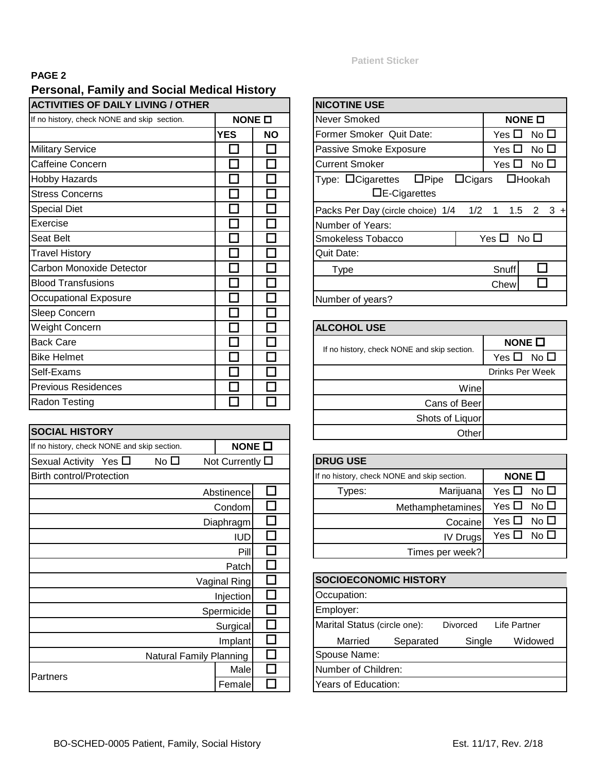## **PAGE 2**

# **Personal, Family and Social Medical History**

| <b>IACTIVITIES OF DAILY LIVING / OTHER</b>  | <b>NICOTINE USE</b> |               |                       |
|---------------------------------------------|---------------------|---------------|-----------------------|
| If no history, check NONE and skip section. |                     | NONE <b>O</b> | Never Smoked          |
|                                             | <b>YES</b>          | <b>NO</b>     | <b>Former Smoker</b>  |
| <b>Military Service</b>                     |                     |               | Passive Smoke         |
| Caffeine Concern                            |                     |               | <b>Current Smoker</b> |
| <b>Hobby Hazards</b>                        |                     |               | Type: $\Box$ Cigare   |
| <b>Stress Concerns</b>                      |                     |               | ⊐≀                    |
| <b>Special Diet</b>                         |                     |               | Packs Per Day (       |
| Exercise                                    |                     |               | Number of Year        |
| Seat Belt                                   |                     |               | Smokeless Toba        |
| <b>Travel History</b>                       |                     |               | Quit Date:            |
| Carbon Monoxide Detector                    |                     |               | Type                  |
| <b>Blood Transfusions</b>                   |                     |               |                       |
| Occupational Exposure                       |                     |               | Number of years       |
| Sleep Concern                               |                     |               |                       |
| Weight Concern                              |                     |               | <b>ALCOHOL USE</b>    |
| <b>Back Care</b>                            |                     |               |                       |
| <b>Bike Helmet</b>                          |                     |               | If no history, chec   |
| Self-Exams                                  |                     |               |                       |
| <b>Previous Residences</b>                  |                     |               |                       |
| <b>Radon Testing</b>                        |                     |               |                       |
|                                             |                     |               |                       |

| <b>SOCIAL HISTORY</b>                                            |  |                         |  |                     |  |  |  |  |  |
|------------------------------------------------------------------|--|-------------------------|--|---------------------|--|--|--|--|--|
| If no history, check NONE and skip section.                      |  |                         |  | NONE $\Box$         |  |  |  |  |  |
| No □<br>Not Currently $\square$<br>Sexual Activity Yes $\square$ |  |                         |  |                     |  |  |  |  |  |
| <b>Birth control/Protection</b>                                  |  |                         |  |                     |  |  |  |  |  |
|                                                                  |  |                         |  |                     |  |  |  |  |  |
|                                                                  |  |                         |  | Condom              |  |  |  |  |  |
|                                                                  |  |                         |  | Diaphragm           |  |  |  |  |  |
|                                                                  |  |                         |  | <b>IUD</b>          |  |  |  |  |  |
| Pill                                                             |  |                         |  |                     |  |  |  |  |  |
|                                                                  |  |                         |  | Patch               |  |  |  |  |  |
|                                                                  |  |                         |  | <b>Vaginal Ring</b> |  |  |  |  |  |
|                                                                  |  |                         |  | Injection           |  |  |  |  |  |
|                                                                  |  |                         |  | Spermicide          |  |  |  |  |  |
|                                                                  |  |                         |  | Surgical            |  |  |  |  |  |
|                                                                  |  |                         |  | Implant             |  |  |  |  |  |
|                                                                  |  | Natural Family Planning |  |                     |  |  |  |  |  |
| Partners                                                         |  |                         |  | Male                |  |  |  |  |  |
|                                                                  |  |                         |  | Female              |  |  |  |  |  |

#### **Patient Sticker**

|        |           | <b>NICOTINE USE</b>                                  |                               |
|--------|-----------|------------------------------------------------------|-------------------------------|
| NONE O |           | Never Smoked                                         | NONE O                        |
| :S     | <b>NO</b> | Former Smoker Quit Date:                             | No $\square$<br>Yes $\square$ |
|        |           | Passive Smoke Exposure                               | No $\square$<br>Yes $\square$ |
|        |           | <b>Current Smoker</b>                                | No $\square$<br>Yes 凵         |
|        |           | $\Box$ Cigars<br>Type: $\Box$ Cigarettes $\Box$ Pipe | $\Box$ Hookah                 |
|        |           | $\Box$ E-Cigarettes                                  |                               |
|        |           | Packs Per Day (circle choice) 1/4 1/2                | 1.5<br>$3 +$<br>2<br>1        |
|        |           | Number of Years:                                     |                               |
|        |           | Smokeless Tobacco                                    | Yes $\Box$<br>No $\square$    |
|        |           | Quit Date:                                           |                               |
|        |           | <b>Type</b>                                          | Snuff                         |
|        |           |                                                      | Chew                          |
|        |           | Number of years?                                     |                               |

### **ALCOHOL USE**

| If no history, check NONE and skip section. | NONE $\square$       |
|---------------------------------------------|----------------------|
|                                             | Yes $\Box$ No $\Box$ |
|                                             | Drinks Per Week      |
| Wine                                        |                      |
| Cans of Beer                                |                      |
| Shots of Liquor                             |                      |
| Other                                       |                      |

| <b>DRUG USE</b> |                                             |                      |  |  |  |  |
|-----------------|---------------------------------------------|----------------------|--|--|--|--|
|                 | If no history, check NONE and skip section. |                      |  |  |  |  |
| Types:          | Marijuana                                   | Yes $\Box$ No $\Box$ |  |  |  |  |
|                 | Methamphetamines                            | Yes $\Box$ No $\Box$ |  |  |  |  |
|                 | Cocaine                                     | Yes $\Box$ No $\Box$ |  |  |  |  |
|                 | IV Drugs                                    | Yes $\Box$ No $\Box$ |  |  |  |  |
|                 | Times per week?                             |                      |  |  |  |  |

| al Ring         | <b>SOCIOECONOMIC HISTORY</b>                             |  |  |  |  |  |  |  |  |  |
|-----------------|----------------------------------------------------------|--|--|--|--|--|--|--|--|--|
| njection        | Occupation:                                              |  |  |  |  |  |  |  |  |  |
| micide          | Employer:                                                |  |  |  |  |  |  |  |  |  |
| <b>Surgical</b> | Marital Status (circle one):<br>Divorced<br>Life Partner |  |  |  |  |  |  |  |  |  |
| Implant         | Widowed<br>Separated<br>Single<br>Married                |  |  |  |  |  |  |  |  |  |
| anning          | Spouse Name:                                             |  |  |  |  |  |  |  |  |  |
| Male            | Number of Children:                                      |  |  |  |  |  |  |  |  |  |
| Female          | Years of Education:                                      |  |  |  |  |  |  |  |  |  |
|                 |                                                          |  |  |  |  |  |  |  |  |  |